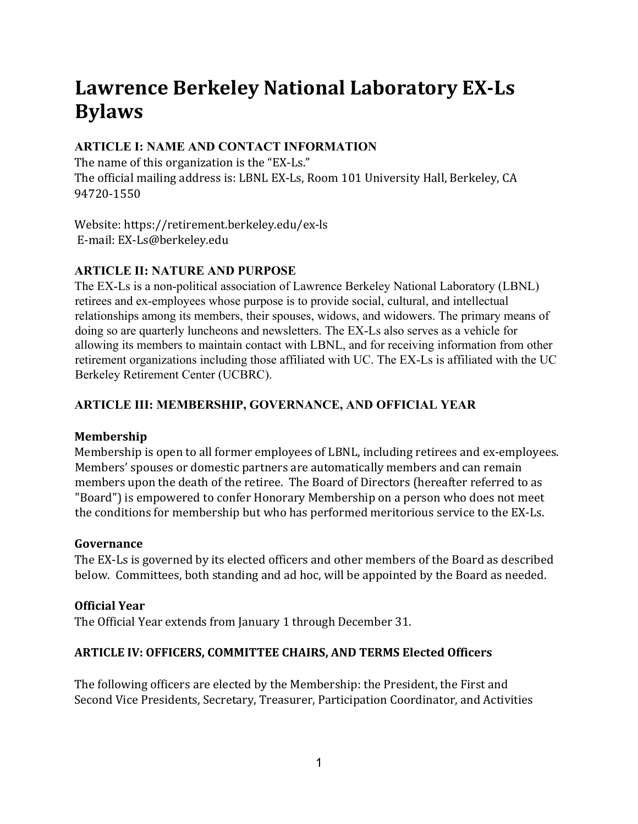# Lawrence Berkeley National Laboratory EX-Ls **Bylaws**

## **ARTICLE I: NAME AND CONTACT INFORMATION**

The name of this organization is the "EX-Ls." The official mailing address is: LBNL EX-Ls, Room 101 University Hall, Berkeley, CA 94720-1550 

Website: https://retirement.berkeley.edu/ex-ls E-mail: EX-Ls@berkeley.edu

# **ARTICLE II: NATURE AND PURPOSE**

The EX-Ls is a non-political association of Lawrence Berkeley National Laboratory (LBNL) retirees and ex-employees whose purpose is to provide social, cultural, and intellectual relationships among its members, their spouses, widows, and widowers. The primary means of doing so are quarterly luncheons and newsletters. The EX-Ls also serves as a vehicle for allowing its members to maintain contact with LBNL, and for receiving information from other retirement organizations including those affiliated with UC. The EX-Ls is affiliated with the UC Berkeley Retirement Center (UCBRC).

# **ARTICLE III: MEMBERSHIP, GOVERNANCE, AND OFFICIAL YEAR**

#### **Membership**

Membership is open to all former employees of LBNL, including retirees and ex-employees. Members' spouses or domestic partners are automatically members and can remain members upon the death of the retiree. The Board of Directors (hereafter referred to as "Board") is empowered to confer Honorary Membership on a person who does not meet the conditions for membership but who has performed meritorious service to the EX-Ls.

#### **Governance**

The EX-Ls is governed by its elected officers and other members of the Board as described below. Committees, both standing and ad hoc, will be appointed by the Board as needed.

## **Official Year**

The Official Year extends from January 1 through December 31.

## **ARTICLE IV: OFFICERS, COMMITTEE CHAIRS, AND TERMS Elected Officers**

The following officers are elected by the Membership: the President, the First and Second Vice Presidents, Secretary, Treasurer, Participation Coordinator, and Activities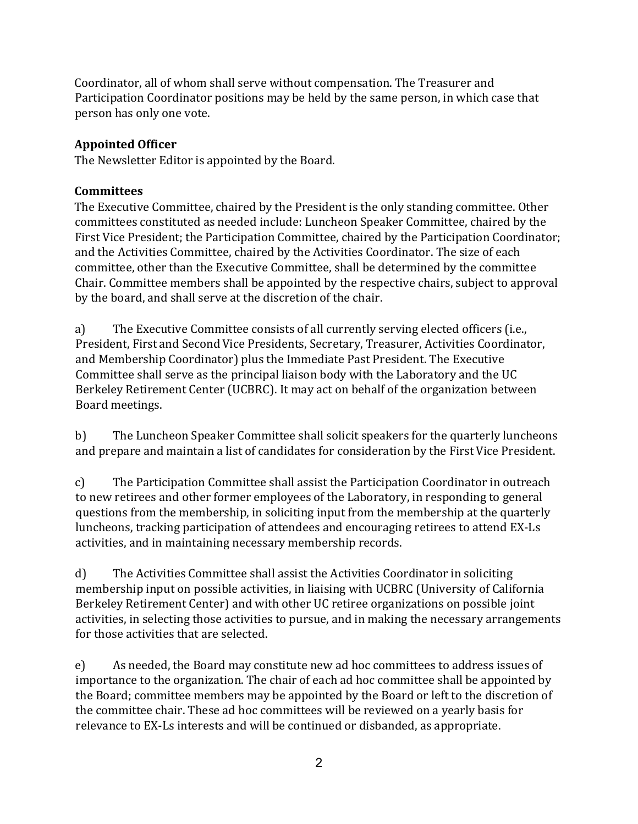Coordinator, all of whom shall serve without compensation. The Treasurer and Participation Coordinator positions may be held by the same person, in which case that person has only one vote.

### **Appointed Officer**

The Newsletter Editor is appointed by the Board.

#### **Committees**

The Executive Committee, chaired by the President is the only standing committee. Other committees constituted as needed include: Luncheon Speaker Committee, chaired by the First Vice President; the Participation Committee, chaired by the Participation Coordinator; and the Activities Committee, chaired by the Activities Coordinator. The size of each committee, other than the Executive Committee, shall be determined by the committee Chair. Committee members shall be appointed by the respective chairs, subject to approval by the board, and shall serve at the discretion of the chair.

a) The Executive Committee consists of all currently serving elected officers (i.e., President, First and Second Vice Presidents, Secretary, Treasurer, Activities Coordinator, and Membership Coordinator) plus the Immediate Past President. The Executive Committee shall serve as the principal liaison body with the Laboratory and the UC Berkeley Retirement Center (UCBRC). It may act on behalf of the organization between Board meetings.

b) The Luncheon Speaker Committee shall solicit speakers for the quarterly luncheons and prepare and maintain a list of candidates for consideration by the First Vice President.

c) The Participation Committee shall assist the Participation Coordinator in outreach to new retirees and other former employees of the Laboratory, in responding to general questions from the membership, in soliciting input from the membership at the quarterly luncheons, tracking participation of attendees and encouraging retirees to attend EX-Ls activities, and in maintaining necessary membership records.

d) The Activities Committee shall assist the Activities Coordinator in soliciting membership input on possible activities, in liaising with UCBRC (University of California Berkeley Retirement Center) and with other UC retiree organizations on possible joint activities, in selecting those activities to pursue, and in making the necessary arrangements for those activities that are selected.

e) As needed, the Board may constitute new ad hoc committees to address issues of importance to the organization. The chair of each ad hoc committee shall be appointed by the Board; committee members may be appointed by the Board or left to the discretion of the committee chair. These ad hoc committees will be reviewed on a yearly basis for relevance to EX-Ls interests and will be continued or disbanded, as appropriate.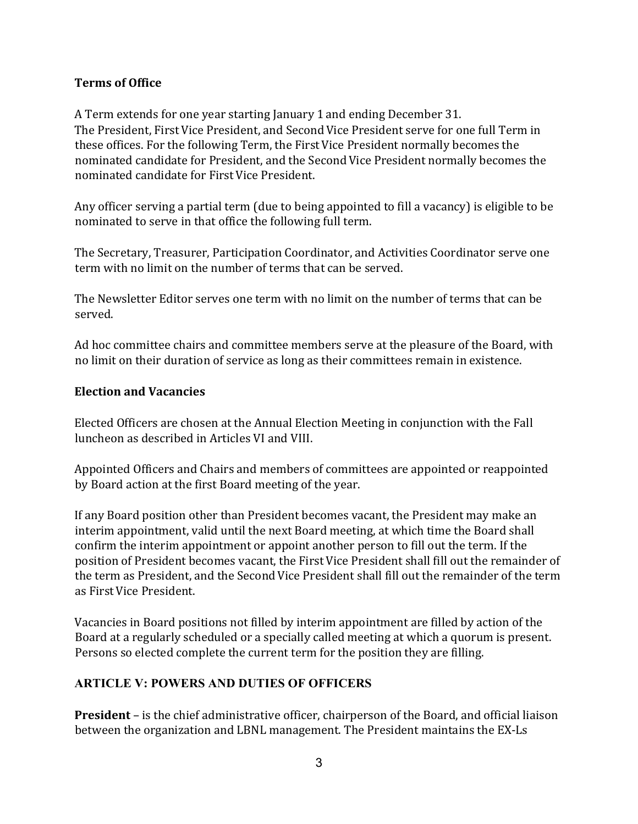#### **Terms of Office**

A Term extends for one year starting January 1 and ending December 31. The President, First Vice President, and Second Vice President serve for one full Term in these offices. For the following Term, the First Vice President normally becomes the nominated candidate for President, and the Second Vice President normally becomes the nominated candidate for First Vice President.

Any officer serving a partial term (due to being appointed to fill a vacancy) is eligible to be nominated to serve in that office the following full term.

The Secretary, Treasurer, Participation Coordinator, and Activities Coordinator serve one term with no limit on the number of terms that can be served.

The Newsletter Editor serves one term with no limit on the number of terms that can be served. 

Ad hoc committee chairs and committee members serve at the pleasure of the Board, with no limit on their duration of service as long as their committees remain in existence.

#### **Election and Vacancies**

Elected Officers are chosen at the Annual Election Meeting in conjunction with the Fall luncheon as described in Articles VI and VIII.

Appointed Officers and Chairs and members of committees are appointed or reappointed by Board action at the first Board meeting of the year.

If any Board position other than President becomes vacant, the President may make an interim appointment, valid until the next Board meeting, at which time the Board shall confirm the interim appointment or appoint another person to fill out the term. If the position of President becomes vacant, the First Vice President shall fill out the remainder of the term as President, and the Second Vice President shall fill out the remainder of the term as FirstVice President. 

Vacancies in Board positions not filled by interim appointment are filled by action of the Board at a regularly scheduled or a specially called meeting at which a quorum is present. Persons so elected complete the current term for the position they are filling.

## **ARTICLE V: POWERS AND DUTIES OF OFFICERS**

**President** – is the chief administrative officer, chairperson of the Board, and official liaison between the organization and LBNL management. The President maintains the EX-Ls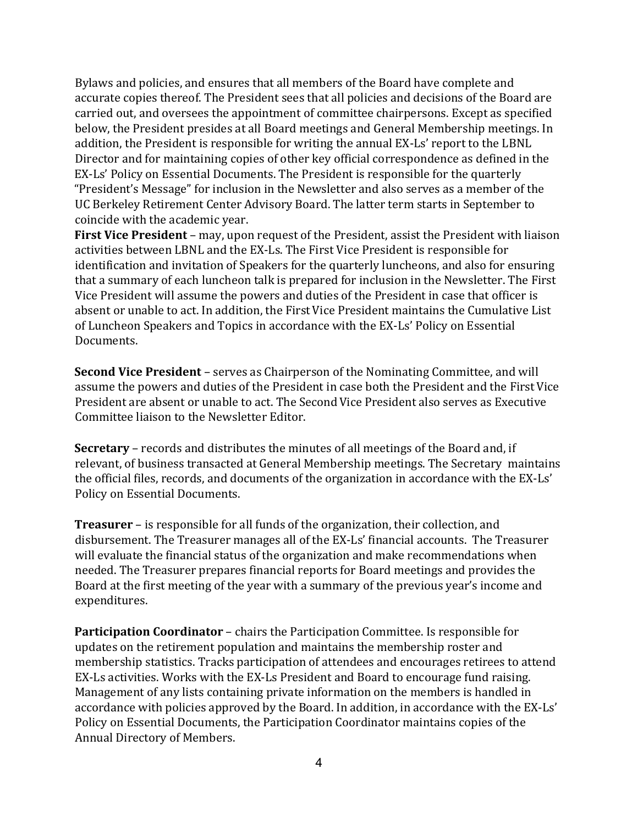Bylaws and policies, and ensures that all members of the Board have complete and accurate copies thereof. The President sees that all policies and decisions of the Board are carried out, and oversees the appointment of committee chairpersons. Except as specified below, the President presides at all Board meetings and General Membership meetings. In addition, the President is responsible for writing the annual EX-Ls' report to the LBNL Director and for maintaining copies of other key official correspondence as defined in the EX-Ls' Policy on Essential Documents. The President is responsible for the quarterly "President's Message" for inclusion in the Newsletter and also serves as a member of the UC Berkeley Retirement Center Advisory Board. The latter term starts in September to coincide with the academic year.

**First Vice President** – may, upon request of the President, assist the President with liaison activities between LBNL and the EX-Ls. The First Vice President is responsible for identification and invitation of Speakers for the quarterly luncheons, and also for ensuring that a summary of each luncheon talk is prepared for inclusion in the Newsletter. The First Vice President will assume the powers and duties of the President in case that officer is absent or unable to act. In addition, the First Vice President maintains the Cumulative List of Luncheon Speakers and Topics in accordance with the EX-Ls' Policy on Essential Documents. 

**Second Vice President** – serves as Chairperson of the Nominating Committee, and will assume the powers and duties of the President in case both the President and the First Vice President are absent or unable to act. The Second Vice President also serves as Executive Committee liaison to the Newsletter Editor.

**Secretary** – records and distributes the minutes of all meetings of the Board and, if relevant, of business transacted at General Membership meetings. The Secretary maintains the official files, records, and documents of the organization in accordance with the EX-Ls' Policy on Essential Documents.

**Treasurer** – is responsible for all funds of the organization, their collection, and disbursement. The Treasurer manages all of the EX-Ls' financial accounts. The Treasurer will evaluate the financial status of the organization and make recommendations when needed. The Treasurer prepares financial reports for Board meetings and provides the Board at the first meeting of the year with a summary of the previous year's income and expenditures. 

**Participation Coordinator** – chairs the Participation Committee. Is responsible for updates on the retirement population and maintains the membership roster and membership statistics. Tracks participation of attendees and encourages retirees to attend EX-Ls activities. Works with the EX-Ls President and Board to encourage fund raising. Management of any lists containing private information on the members is handled in accordance with policies approved by the Board. In addition, in accordance with the EX-Ls' Policy on Essential Documents, the Participation Coordinator maintains copies of the Annual Directory of Members.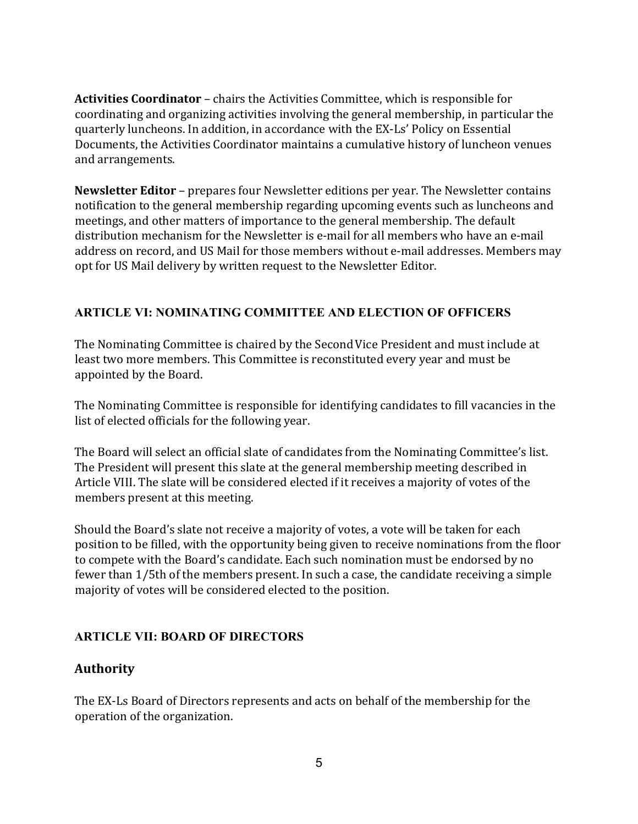**Activities Coordinator** – chairs the Activities Committee, which is responsible for coordinating and organizing activities involving the general membership, in particular the quarterly luncheons. In addition, in accordance with the EX-Ls' Policy on Essential Documents, the Activities Coordinator maintains a cumulative history of luncheon venues and arrangements.

**Newsletter Editor** – prepares four Newsletter editions per year. The Newsletter contains notification to the general membership regarding upcoming events such as luncheons and meetings, and other matters of importance to the general membership. The default distribution mechanism for the Newsletter is e-mail for all members who have an e-mail address on record, and US Mail for those members without e-mail addresses. Members may opt for US Mail delivery by written request to the Newsletter Editor.

## **ARTICLE VI: NOMINATING COMMITTEE AND ELECTION OF OFFICERS**

The Nominating Committee is chaired by the Second Vice President and must include at least two more members. This Committee is reconstituted every year and must be appointed by the Board.

The Nominating Committee is responsible for identifying candidates to fill vacancies in the list of elected officials for the following year.

The Board will select an official slate of candidates from the Nominating Committee's list. The President will present this slate at the general membership meeting described in Article VIII. The slate will be considered elected if it receives a majority of votes of the members present at this meeting.

Should the Board's slate not receive a majority of votes, a vote will be taken for each position to be filled, with the opportunity being given to receive nominations from the floor to compete with the Board's candidate. Each such nomination must be endorsed by no fewer than 1/5th of the members present. In such a case, the candidate receiving a simple majority of votes will be considered elected to the position.

## **ARTICLE VII: BOARD OF DIRECTORS**

## **Authority**

The EX-Ls Board of Directors represents and acts on behalf of the membership for the operation of the organization.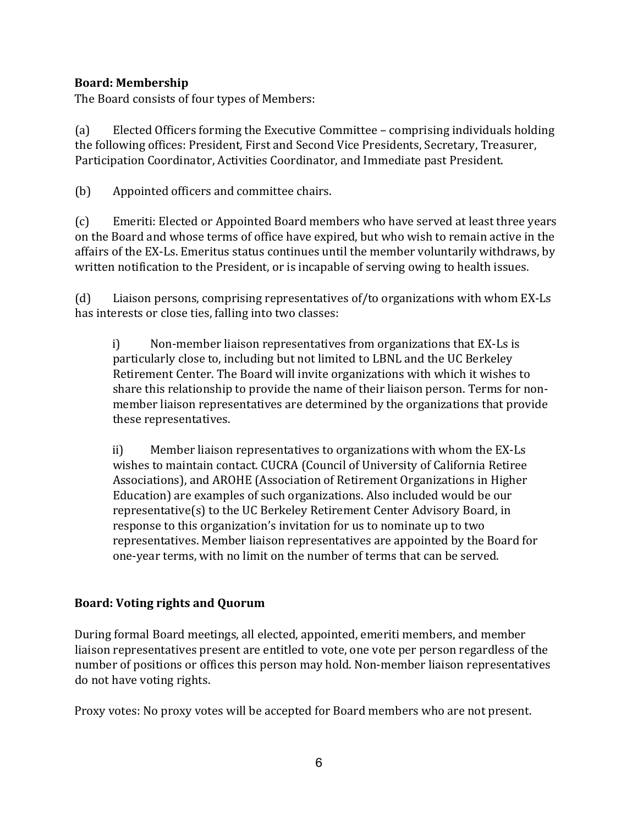### **Board: Membership**

The Board consists of four types of Members:

(a) Elected Officers forming the Executive Committee – comprising individuals holding the following offices: President, First and Second Vice Presidents, Secretary, Treasurer, Participation Coordinator, Activities Coordinator, and Immediate past President.

(b) Appointed officers and committee chairs.

(c) Emeriti: Elected or Appointed Board members who have served at least three years on the Board and whose terms of office have expired, but who wish to remain active in the affairs of the EX-Ls. Emeritus status continues until the member voluntarily withdraws, by written notification to the President, or is incapable of serving owing to health issues.

(d) Liaison persons, comprising representatives of/to organizations with whom  $EX-Ls$ has interests or close ties, falling into two classes:

 $i)$  Non-member liaison representatives from organizations that EX-Ls is particularly close to, including but not limited to LBNL and the UC Berkeley Retirement Center. The Board will invite organizations with which it wishes to share this relationship to provide the name of their liaison person. Terms for nonmember liaison representatives are determined by the organizations that provide these representatives.

ii) Member liaison representatives to organizations with whom the EX-Ls wishes to maintain contact. CUCRA (Council of University of California Retiree Associations), and AROHE (Association of Retirement Organizations in Higher Education) are examples of such organizations. Also included would be our representative(s) to the UC Berkeley Retirement Center Advisory Board, in response to this organization's invitation for us to nominate up to two representatives. Member liaison representatives are appointed by the Board for one-year terms, with no limit on the number of terms that can be served.

## Board: Voting rights and Quorum

During formal Board meetings, all elected, appointed, emeriti members, and member liaison representatives present are entitled to vote, one vote per person regardless of the number of positions or offices this person may hold. Non-member liaison representatives do not have voting rights.

Proxy votes: No proxy votes will be accepted for Board members who are not present.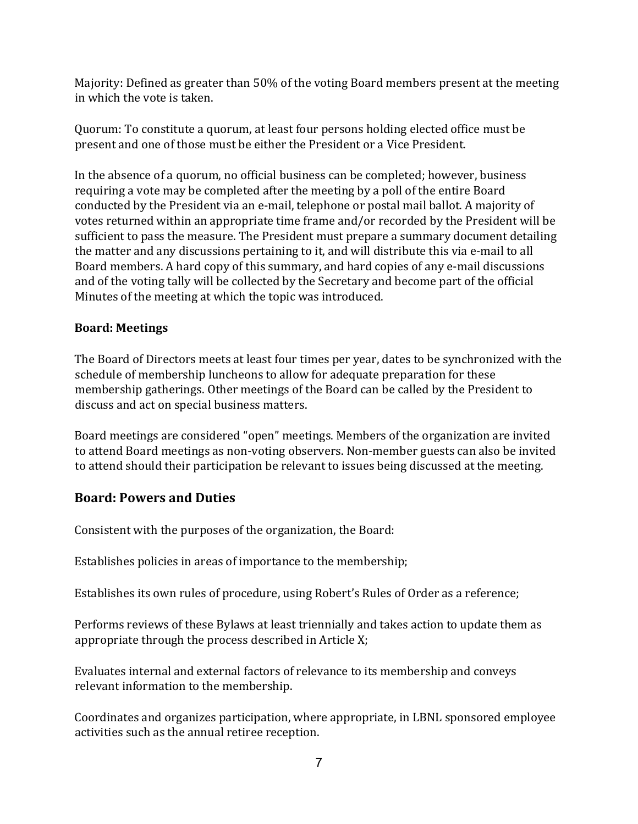Majority: Defined as greater than 50% of the voting Board members present at the meeting in which the vote is taken.

Quorum: To constitute a quorum, at least four persons holding elected office must be present and one of those must be either the President or a Vice President.

In the absence of a quorum, no official business can be completed; however, business requiring a vote may be completed after the meeting by a poll of the entire Board conducted by the President via an e-mail, telephone or postal mail ballot. A majority of votes returned within an appropriate time frame and/or recorded by the President will be sufficient to pass the measure. The President must prepare a summary document detailing the matter and any discussions pertaining to it, and will distribute this via e-mail to all Board members. A hard copy of this summary, and hard copies of any e-mail discussions and of the voting tally will be collected by the Secretary and become part of the official Minutes of the meeting at which the topic was introduced.

#### **Board: Meetings**

The Board of Directors meets at least four times per year, dates to be synchronized with the schedule of membership luncheons to allow for adequate preparation for these membership gatherings. Other meetings of the Board can be called by the President to discuss and act on special business matters.

Board meetings are considered "open" meetings. Members of the organization are invited to attend Board meetings as non-voting observers. Non-member guests can also be invited to attend should their participation be relevant to issues being discussed at the meeting.

## **Board: Powers and Duties**

Consistent with the purposes of the organization, the Board:

Establishes policies in areas of importance to the membership;

Establishes its own rules of procedure, using Robert's Rules of Order as a reference;

Performs reviews of these Bylaws at least triennially and takes action to update them as appropriate through the process described in Article  $X$ ;

Evaluates internal and external factors of relevance to its membership and conveys relevant information to the membership.

Coordinates and organizes participation, where appropriate, in LBNL sponsored employee activities such as the annual retiree reception.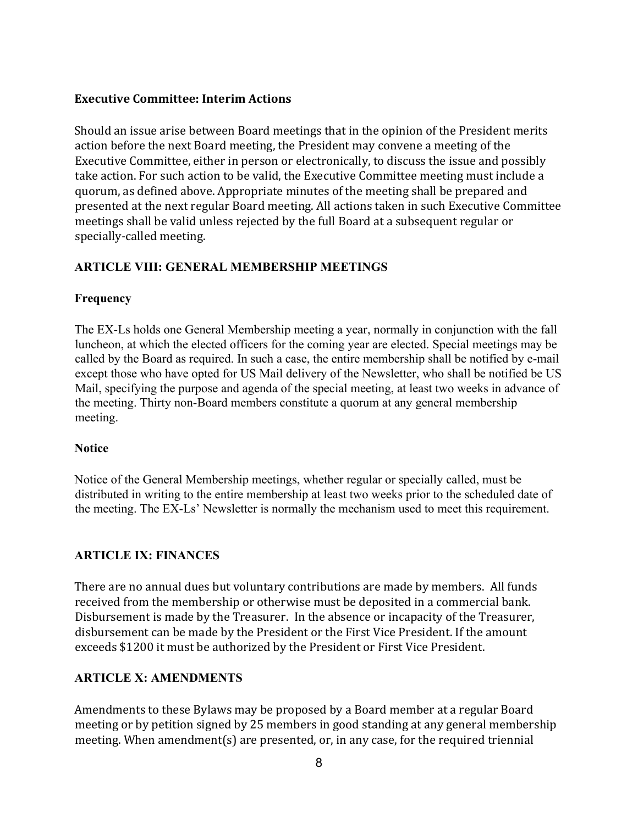#### **Executive Committee: Interim Actions**

Should an issue arise between Board meetings that in the opinion of the President merits action before the next Board meeting, the President may convene a meeting of the Executive Committee, either in person or electronically, to discuss the issue and possibly take action. For such action to be valid, the Executive Committee meeting must include a quorum, as defined above. Appropriate minutes of the meeting shall be prepared and presented at the next regular Board meeting. All actions taken in such Executive Committee meetings shall be valid unless rejected by the full Board at a subsequent regular or specially-called meeting.

#### **ARTICLE VIII: GENERAL MEMBERSHIP MEETINGS**

#### **Frequency**

The EX-Ls holds one General Membership meeting a year, normally in conjunction with the fall luncheon, at which the elected officers for the coming year are elected. Special meetings may be called by the Board as required. In such a case, the entire membership shall be notified by e-mail except those who have opted for US Mail delivery of the Newsletter, who shall be notified be US Mail, specifying the purpose and agenda of the special meeting, at least two weeks in advance of the meeting. Thirty non-Board members constitute a quorum at any general membership meeting.

#### **Notice**

Notice of the General Membership meetings, whether regular or specially called, must be distributed in writing to the entire membership at least two weeks prior to the scheduled date of the meeting. The EX-Ls' Newsletter is normally the mechanism used to meet this requirement.

#### **ARTICLE IX: FINANCES**

There are no annual dues but voluntary contributions are made by members. All funds received from the membership or otherwise must be deposited in a commercial bank. Disbursement is made by the Treasurer. In the absence or incapacity of the Treasurer, disbursement can be made by the President or the First Vice President. If the amount exceeds \$1200 it must be authorized by the President or First Vice President.

#### **ARTICLE X: AMENDMENTS**

Amendments to these Bylaws may be proposed by a Board member at a regular Board meeting or by petition signed by 25 members in good standing at any general membership meeting. When amendment(s) are presented, or, in any case, for the required triennial